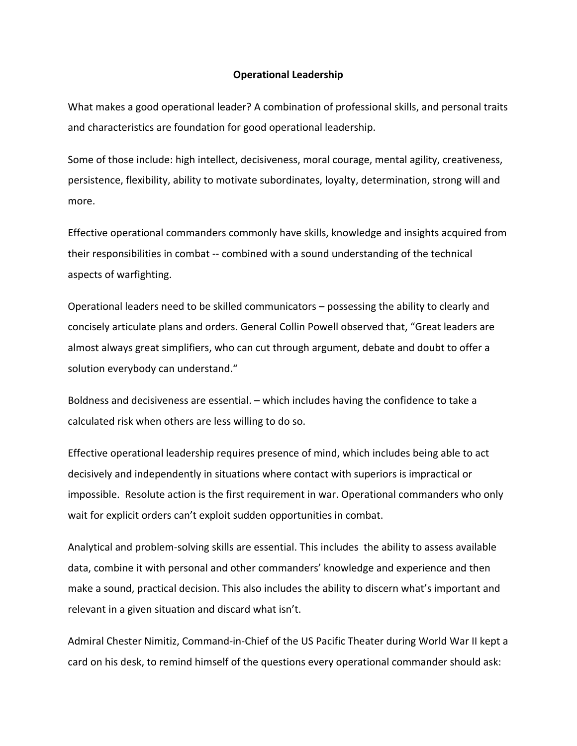## **Operational Leadership**

What makes a good operational leader? A combination of professional skills, and personal traits and characteristics are foundation for good operational leadership.

Some of those include: high intellect, decisiveness, moral courage, mental agility, creativeness, persistence, flexibility, ability to motivate subordinates, loyalty, determination, strong will and more.

Effective operational commanders commonly have skills, knowledge and insights acquired from their responsibilities in combat ‐‐ combined with a sound understanding of the technical aspects of warfighting.

Operational leaders need to be skilled communicators – possessing the ability to clearly and concisely articulate plans and orders. General Collin Powell observed that, "Great leaders are almost always great simplifiers, who can cut through argument, debate and doubt to offer a solution everybody can understand."

Boldness and decisiveness are essential. – which includes having the confidence to take a calculated risk when others are less willing to do so.

Effective operational leadership requires presence of mind, which includes being able to act decisively and independently in situations where contact with superiors is impractical or impossible. Resolute action is the first requirement in war. Operational commanders who only wait for explicit orders can't exploit sudden opportunities in combat.

Analytical and problem‐solving skills are essential. This includes the ability to assess available data, combine it with personal and other commanders' knowledge and experience and then make a sound, practical decision. This also includes the ability to discern what's important and relevant in a given situation and discard what isn't.

Admiral Chester Nimitiz, Command‐in‐Chief of the US Pacific Theater during World War II kept a card on his desk, to remind himself of the questions every operational commander should ask: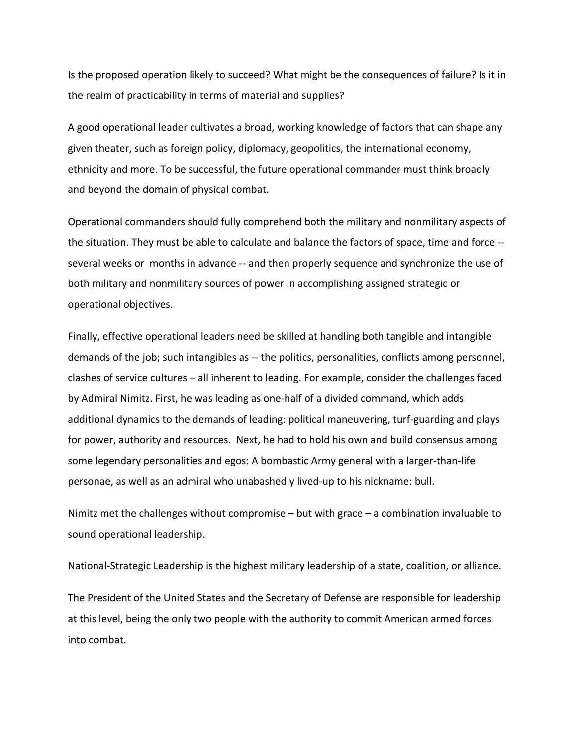Is the proposed operation likely to succeed? What might be the consequences of failure? Is it in the realm of practicability in terms of material and supplies?

A good operational leader cultivates a broad, working knowledge of factors that can shape any given theater, such as foreign policy, diplomacy, geopolitics, the international economy, ethnicity and more. To be successful, the future operational commander must think broadly and beyond the domain of physical combat.

Operational commanders should fully comprehend both the military and nonmilitary aspects of the situation. They must be able to calculate and balance the factors of space, time and force ‐‐ several weeks or months in advance -- and then properly sequence and synchronize the use of both military and nonmilitary sources of power in accomplishing assigned strategic or operational objectives.

Finally, effective operational leaders need be skilled at handling both tangible and intangible demands of the job; such intangibles as -- the politics, personalities, conflicts among personnel, clashes of service cultures – all inherent to leading. For example, consider the challenges faced by Admiral Nimitz. First, he was leading as one‐half of a divided command, which adds additional dynamics to the demands of leading: political maneuvering, turf‐guarding and plays for power, authority and resources. Next, he had to hold his own and build consensus among some legendary personalities and egos: A bombastic Army general with a larger-than-life personae, as well as an admiral who unabashedly lived‐up to his nickname: bull.

Nimitz met the challenges without compromise – but with grace – a combination invaluable to sound operational leadership.

National‐Strategic Leadership is the highest military leadership of a state, coalition, or alliance.

The President of the United States and the Secretary of Defense are responsible for leadership at this level, being the only two people with the authority to commit American armed forces into combat.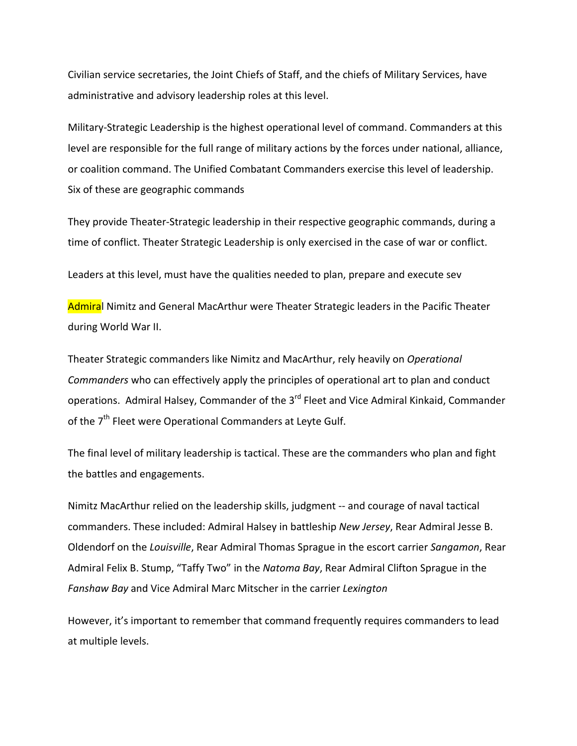Civilian service secretaries, the Joint Chiefs of Staff, and the chiefs of Military Services, have administrative and advisory leadership roles at this level.

Military‐Strategic Leadership is the highest operational level of command. Commanders at this level are responsible for the full range of military actions by the forces under national, alliance, or coalition command. The Unified Combatant Commanders exercise this level of leadership. Six of these are geographic commands

They provide Theater‐Strategic leadership in their respective geographic commands, during a time of conflict. Theater Strategic Leadership is only exercised in the case of war or conflict.

Leaders at this level, must have the qualities needed to plan, prepare and execute sev

Admiral Nimitz and General MacArthur were Theater Strategic leaders in the Pacific Theater during World War II.

Theater Strategic commanders like Nimitz and MacArthur, rely heavily on *Operational Commanders* who can effectively apply the principles of operational art to plan and conduct operations. Admiral Halsey, Commander of the 3<sup>rd</sup> Fleet and Vice Admiral Kinkaid, Commander of the 7<sup>th</sup> Fleet were Operational Commanders at Leyte Gulf.

The final level of military leadership is tactical. These are the commanders who plan and fight the battles and engagements.

Nimitz MacArthur relied on the leadership skills, judgment ‐‐ and courage of naval tactical commanders. These included: Admiral Halsey in battleship *New Jersey*, Rear Admiral Jesse B. Oldendorf on the *Louisville*, Rear Admiral Thomas Sprague in the escort carrier *Sangamon*, Rear Admiral Felix B. Stump, "Taffy Two" in the *Natoma Bay*, Rear Admiral Clifton Sprague in the *Fanshaw Bay* and Vice Admiral Marc Mitscher in the carrier *Lexington*

However, it's important to remember that command frequently requires commanders to lead at multiple levels.